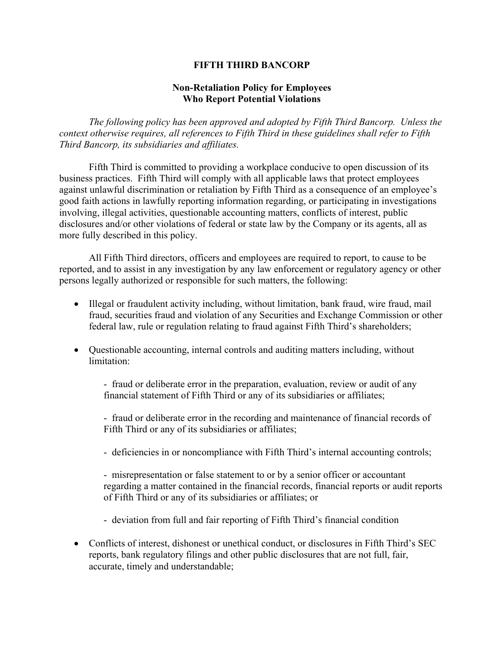## **FIFTH THIRD BANCORP**

## **Non-Retaliation Policy for Employees Who Report Potential Violations**

*The following policy has been approved and adopted by Fifth Third Bancorp. Unless the context otherwise requires, all references to Fifth Third in these guidelines shall refer to Fifth Third Bancorp, its subsidiaries and affiliates.* 

 Fifth Third is committed to providing a workplace conducive to open discussion of its business practices. Fifth Third will comply with all applicable laws that protect employees against unlawful discrimination or retaliation by Fifth Third as a consequence of an employee's good faith actions in lawfully reporting information regarding, or participating in investigations involving, illegal activities, questionable accounting matters, conflicts of interest, public disclosures and/or other violations of federal or state law by the Company or its agents, all as more fully described in this policy.

All Fifth Third directors, officers and employees are required to report, to cause to be reported, and to assist in any investigation by any law enforcement or regulatory agency or other persons legally authorized or responsible for such matters, the following:

- Illegal or fraudulent activity including, without limitation, bank fraud, wire fraud, mail fraud, securities fraud and violation of any Securities and Exchange Commission or other federal law, rule or regulation relating to fraud against Fifth Third's shareholders;
- Questionable accounting, internal controls and auditing matters including, without limitation:

- fraud or deliberate error in the preparation, evaluation, review or audit of any financial statement of Fifth Third or any of its subsidiaries or affiliates;

- fraud or deliberate error in the recording and maintenance of financial records of Fifth Third or any of its subsidiaries or affiliates;

- deficiencies in or noncompliance with Fifth Third's internal accounting controls;

- misrepresentation or false statement to or by a senior officer or accountant regarding a matter contained in the financial records, financial reports or audit reports of Fifth Third or any of its subsidiaries or affiliates; or

- deviation from full and fair reporting of Fifth Third's financial condition
- Conflicts of interest, dishonest or unethical conduct, or disclosures in Fifth Third's SEC reports, bank regulatory filings and other public disclosures that are not full, fair, accurate, timely and understandable;